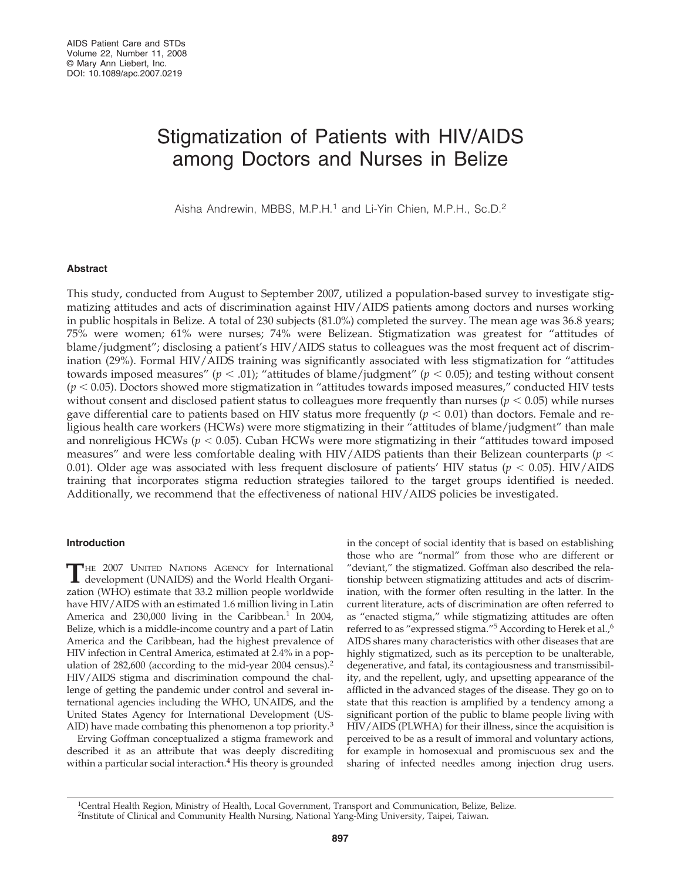# Stigmatization of Patients with HIV/AIDS among Doctors and Nurses in Belize

Aisha Andrewin, MBBS, M.P.H.<sup>1</sup> and Li-Yin Chien, M.P.H., Sc.D.<sup>2</sup>

#### **Abstract**

This study, conducted from August to September 2007, utilized a population-based survey to investigate stigmatizing attitudes and acts of discrimination against HIV/AIDS patients among doctors and nurses working in public hospitals in Belize. A total of 230 subjects (81.0%) completed the survey. The mean age was 36.8 years; 75% were women; 61% were nurses; 74% were Belizean. Stigmatization was greatest for "attitudes of blame/judgment"; disclosing a patient's HIV/AIDS status to colleagues was the most frequent act of discrimination (29%). Formal HIV/AIDS training was significantly associated with less stigmatization for "attitudes towards imposed measures" ( $p < .01$ ); "attitudes of blame/judgment" ( $p < .005$ ); and testing without consent  $(p < 0.05)$ . Doctors showed more stigmatization in "attitudes towards imposed measures," conducted HIV tests without consent and disclosed patient status to colleagues more frequently than nurses  $(p < 0.05)$  while nurses gave differential care to patients based on HIV status more frequently  $(p < 0.01)$  than doctors. Female and religious health care workers (HCWs) were more stigmatizing in their "attitudes of blame/judgment" than male and nonreligious HCWs ( $p < 0.05$ ). Cuban HCWs were more stigmatizing in their "attitudes toward imposed measures" and were less comfortable dealing with HIV/AIDS patients than their Belizean counterparts ( $p<$ 0.01). Older age was associated with less frequent disclosure of patients' HIV status ( $p < 0.05$ ). HIV/AIDS training that incorporates stigma reduction strategies tailored to the target groups identified is needed. Additionally, we recommend that the effectiveness of national HIV/AIDS policies be investigated.

## **Introduction**

THE 2007 UNITED NATIONS AGENCY for International development (UNAIDS) and the World Health Organization (WHO) estimate that 33.2 million people worldwide have HIV/AIDS with an estimated 1.6 million living in Latin America and 230,000 living in the Caribbean.<sup>1</sup> In 2004, Belize, which is a middle-income country and a part of Latin America and the Caribbean, had the highest prevalence of HIV infection in Central America, estimated at 2.4% in a population of 282,600 (according to the mid-year 2004 census).2 HIV/AIDS stigma and discrimination compound the challenge of getting the pandemic under control and several international agencies including the WHO, UNAIDS, and the United States Agency for International Development (US-AID) have made combating this phenomenon a top priority.<sup>3</sup>

Erving Goffman conceptualized a stigma framework and described it as an attribute that was deeply discrediting within a particular social interaction. $4$  His theory is grounded

in the concept of social identity that is based on establishing those who are "normal" from those who are different or "deviant," the stigmatized. Goffman also described the relationship between stigmatizing attitudes and acts of discrimination, with the former often resulting in the latter. In the current literature, acts of discrimination are often referred to as "enacted stigma," while stigmatizing attitudes are often referred to as "expressed stigma."<sup>5</sup> According to Herek et al.,<sup>6</sup> AIDS shares many characteristics with other diseases that are highly stigmatized, such as its perception to be unalterable, degenerative, and fatal, its contagiousness and transmissibility, and the repellent, ugly, and upsetting appearance of the afflicted in the advanced stages of the disease. They go on to state that this reaction is amplified by a tendency among a significant portion of the public to blame people living with HIV/AIDS (PLWHA) for their illness, since the acquisition is perceived to be as a result of immoral and voluntary actions, for example in homosexual and promiscuous sex and the sharing of infected needles among injection drug users.

<sup>&</sup>lt;sup>1</sup>Central Health Region, Ministry of Health, Local Government, Transport and Communication, Belize, Belize. 2Institute of Clinical and Community Health Nursing, National Yang-Ming University, Taipei, Taiwan.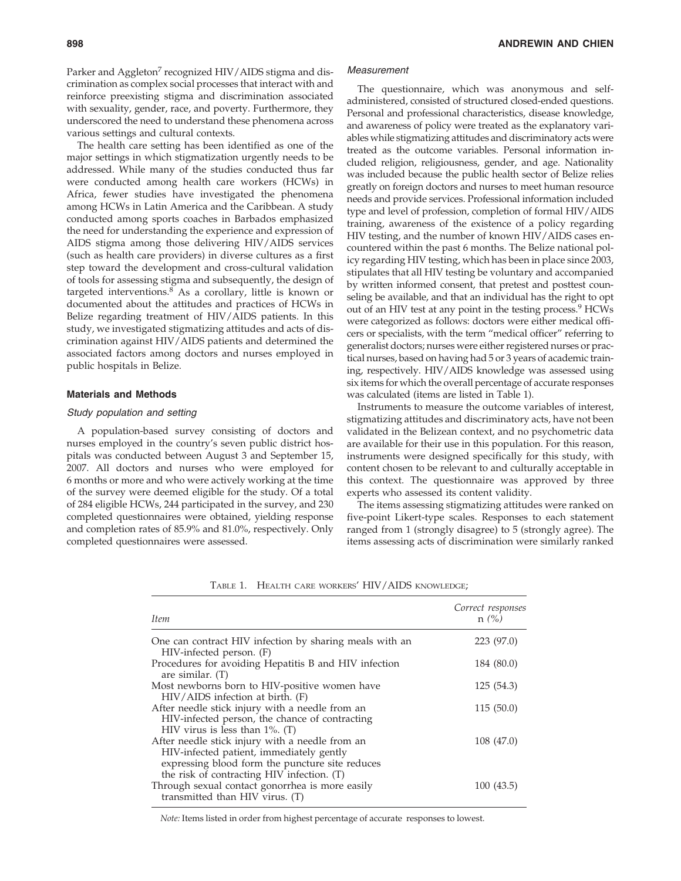The health care setting has been identified as one of the major settings in which stigmatization urgently needs to be addressed. While many of the studies conducted thus far were conducted among health care workers (HCWs) in Africa, fewer studies have investigated the phenomena among HCWs in Latin America and the Caribbean. A study conducted among sports coaches in Barbados emphasized the need for understanding the experience and expression of AIDS stigma among those delivering HIV/AIDS services (such as health care providers) in diverse cultures as a first step toward the development and cross-cultural validation of tools for assessing stigma and subsequently, the design of targeted interventions.<sup>8</sup> As a corollary, little is known or documented about the attitudes and practices of HCWs in Belize regarding treatment of HIV/AIDS patients. In this study, we investigated stigmatizing attitudes and acts of discrimination against HIV/AIDS patients and determined the associated factors among doctors and nurses employed in public hospitals in Belize.

## **Materials and Methods**

#### Study population and setting

A population-based survey consisting of doctors and nurses employed in the country's seven public district hospitals was conducted between August 3 and September 15, 2007. All doctors and nurses who were employed for 6 months or more and who were actively working at the time of the survey were deemed eligible for the study. Of a total of 284 eligible HCWs, 244 participated in the survey, and 230 completed questionnaires were obtained, yielding response and completion rates of 85.9% and 81.0%, respectively. Only completed questionnaires were assessed.

The questionnaire, which was anonymous and selfadministered, consisted of structured closed-ended questions. Personal and professional characteristics, disease knowledge, and awareness of policy were treated as the explanatory variables while stigmatizing attitudes and discriminatory acts were treated as the outcome variables. Personal information included religion, religiousness, gender, and age. Nationality was included because the public health sector of Belize relies greatly on foreign doctors and nurses to meet human resource needs and provide services. Professional information included type and level of profession, completion of formal HIV/AIDS training, awareness of the existence of a policy regarding HIV testing, and the number of known HIV/AIDS cases encountered within the past 6 months. The Belize national policy regarding HIV testing, which has been in place since 2003, stipulates that all HIV testing be voluntary and accompanied by written informed consent, that pretest and posttest counseling be available, and that an individual has the right to opt out of an HIV test at any point in the testing process.<sup>9</sup> HCWs were categorized as follows: doctors were either medical officers or specialists, with the term "medical officer" referring to generalist doctors; nurses were either registered nurses or practical nurses, based on having had 5 or 3 years of academic training, respectively. HIV/AIDS knowledge was assessed using six items for which the overall percentage of accurate responses was calculated (items are listed in Table 1).

Instruments to measure the outcome variables of interest, stigmatizing attitudes and discriminatory acts, have not been validated in the Belizean context, and no psychometric data are available for their use in this population. For this reason, instruments were designed specifically for this study, with content chosen to be relevant to and culturally acceptable in this context. The questionnaire was approved by three experts who assessed its content validity.

The items assessing stigmatizing attitudes were ranked on five-point Likert-type scales. Responses to each statement ranged from 1 (strongly disagree) to 5 (strongly agree). The items assessing acts of discrimination were similarly ranked

| <i>Item</i>                                                                                                                                                                                  | Correct responses<br>$n$ (%) |
|----------------------------------------------------------------------------------------------------------------------------------------------------------------------------------------------|------------------------------|
| One can contract HIV infection by sharing meals with an<br>HIV-infected person. (F)                                                                                                          | 223(97.0)                    |
| Procedures for avoiding Hepatitis B and HIV infection<br>are similar. $(T)$                                                                                                                  | 184 (80.0)                   |
| Most newborns born to HIV-positive women have<br>$HIV/AIDS$ infection at birth. $(F)$                                                                                                        | 125 (54.3)                   |
| After needle stick injury with a needle from an<br>HIV-infected person, the chance of contracting<br>HIV virus is less than $1\%$ . (T)                                                      | 115(50.0)                    |
| After needle stick injury with a needle from an<br>HIV-infected patient, immediately gently<br>expressing blood form the puncture site reduces<br>the risk of contracting HIV infection. (T) | 108(47.0)                    |
| Through sexual contact gonorrhea is more easily<br>transmitted than HIV virus. (T)                                                                                                           | 100 (43.5)                   |

TABLE 1. HEALTH CARE WORKERS' HIV/AIDS KNOWLEDGE;

*Note:* Items listed in order from highest percentage of accurate responses to lowest.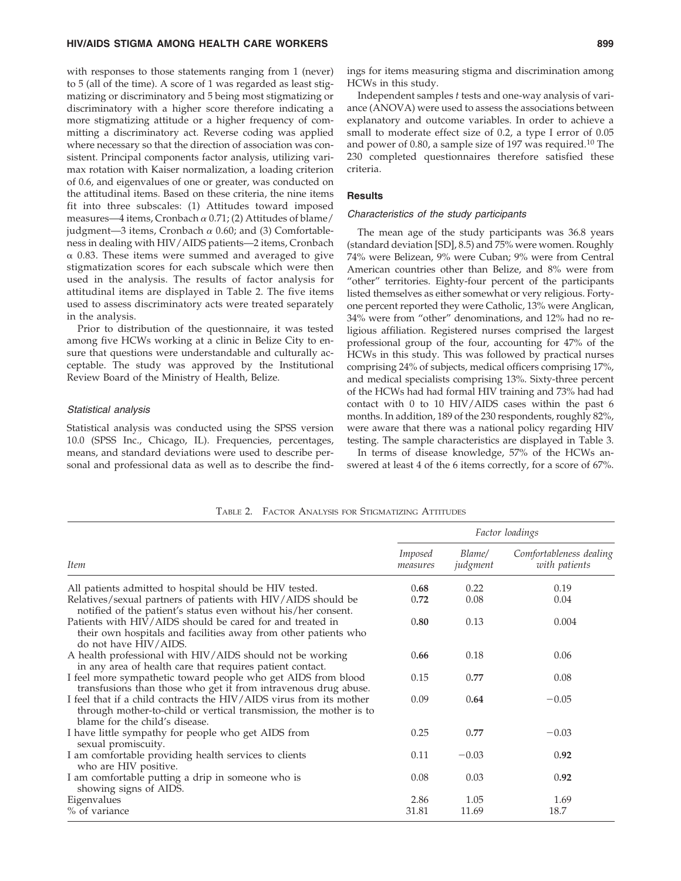## **HIV/AIDS STIGMA AMONG HEALTH CARE WORKERS 899**

with responses to those statements ranging from 1 (never) to 5 (all of the time). A score of 1 was regarded as least stigmatizing or discriminatory and 5 being most stigmatizing or discriminatory with a higher score therefore indicating a more stigmatizing attitude or a higher frequency of committing a discriminatory act. Reverse coding was applied where necessary so that the direction of association was consistent. Principal components factor analysis, utilizing varimax rotation with Kaiser normalization, a loading criterion of 0.6, and eigenvalues of one or greater, was conducted on the attitudinal items. Based on these criteria, the nine items fit into three subscales: (1) Attitudes toward imposed measures—4 items, Cronbach  $\alpha$  0.71; (2) Attitudes of blame/ judgment—3 items, Cronbach α 0.60; and (3) Comfortableness in dealing with HIV/AIDS patients—2 items, Cronbach  $\alpha$  0.83. These items were summed and averaged to give stigmatization scores for each subscale which were then used in the analysis. The results of factor analysis for attitudinal items are displayed in Table 2. The five items used to assess discriminatory acts were treated separately in the analysis.

Prior to distribution of the questionnaire, it was tested among five HCWs working at a clinic in Belize City to ensure that questions were understandable and culturally acceptable. The study was approved by the Institutional Review Board of the Ministry of Health, Belize.

#### Statistical analysis

Statistical analysis was conducted using the SPSS version 10.0 (SPSS Inc., Chicago, IL). Frequencies, percentages, means, and standard deviations were used to describe personal and professional data as well as to describe the findings for items measuring stigma and discrimination among HCWs in this study.

Independent samples *t* tests and one-way analysis of variance (ANOVA) were used to assess the associations between explanatory and outcome variables. In order to achieve a small to moderate effect size of 0.2, a type I error of 0.05 and power of 0.80, a sample size of 197 was required.<sup>10</sup> The 230 completed questionnaires therefore satisfied these criteria.

#### **Results**

#### Characteristics of the study participants

The mean age of the study participants was 36.8 years (standard deviation [SD], 8.5) and 75% were women. Roughly 74% were Belizean, 9% were Cuban; 9% were from Central American countries other than Belize, and 8% were from "other" territories. Eighty-four percent of the participants listed themselves as either somewhat or very religious. Fortyone percent reported they were Catholic, 13% were Anglican, 34% were from "other" denominations, and 12% had no religious affiliation. Registered nurses comprised the largest professional group of the four, accounting for 47% of the HCWs in this study. This was followed by practical nurses comprising 24% of subjects, medical officers comprising 17%, and medical specialists comprising 13%. Sixty-three percent of the HCWs had had formal HIV training and 73% had had contact with 0 to 10 HIV/AIDS cases within the past 6 months. In addition, 189 of the 230 respondents, roughly 82%, were aware that there was a national policy regarding HIV testing. The sample characteristics are displayed in Table 3.

In terms of disease knowledge, 57% of the HCWs answered at least 4 of the 6 items correctly, for a score of 67%.

#### TABLE 2. FACTOR ANALYSIS FOR STIGMATIZING ATTITUDES

|                                                                                                                                                                             |                            |                    | Factor loadings                          |
|-----------------------------------------------------------------------------------------------------------------------------------------------------------------------------|----------------------------|--------------------|------------------------------------------|
| <b>Item</b>                                                                                                                                                                 | <i>Imposed</i><br>measures | Blame/<br>judgment | Comfortableness dealing<br>with patients |
| All patients admitted to hospital should be HIV tested.                                                                                                                     | 0.68                       | 0.22               | 0.19                                     |
| Relatives/sexual partners of patients with HIV/AIDS should be<br>notified of the patient's status even without his/her consent.                                             | 0.72                       | 0.08               | 0.04                                     |
| Patients with HIV/AIDS should be cared for and treated in<br>their own hospitals and facilities away from other patients who<br>do not have HIV/AIDS.                       | 0.80                       | 0.13               | 0.004                                    |
| A health professional with HIV/AIDS should not be working<br>in any area of health care that requires patient contact.                                                      | 0.66                       | 0.18               | 0.06                                     |
| I feel more sympathetic toward people who get AIDS from blood<br>transfusions than those who get it from intravenous drug abuse.                                            | 0.15                       | 0.77               | 0.08                                     |
| I feel that if a child contracts the HIV/AIDS virus from its mother<br>through mother-to-child or vertical transmission, the mother is to<br>blame for the child's disease. | 0.09                       | 0.64               | $-0.05$                                  |
| I have little sympathy for people who get AIDS from<br>sexual promiscuity.                                                                                                  | 0.25                       | 0.77               | $-0.03$                                  |
| I am comfortable providing health services to clients<br>who are HIV positive.                                                                                              | 0.11                       | $-0.03$            | 0.92                                     |
| I am comfortable putting a drip in someone who is<br>showing signs of AIDS.                                                                                                 | 0.08                       | 0.03               | 0.92                                     |
| Eigenvalues                                                                                                                                                                 | 2.86                       | 1.05               | 1.69                                     |
| % of variance                                                                                                                                                               | 31.81                      | 11.69              | 18.7                                     |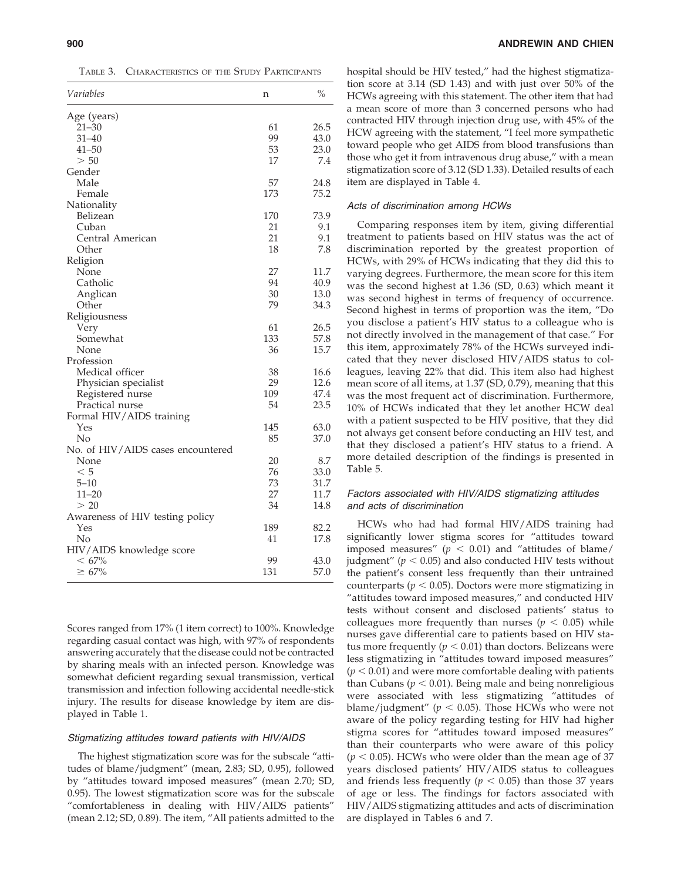TABLE 3. CHARACTERISTICS OF THE STUDY PARTICIPANTS

| Variables                         | n   | $\%$ |
|-----------------------------------|-----|------|
| Age (years)                       |     |      |
| $21 - 30$                         | 61  | 26.5 |
| $31 - 40$                         | 99  | 43.0 |
| $41 - 50$                         | 53  | 23.0 |
| > 50                              | 17  | 7.4  |
| Gender                            |     |      |
| Male                              | 57  | 24.8 |
| Female                            | 173 | 75.2 |
| Nationality                       |     |      |
| Belizean                          | 170 | 73.9 |
| Cuban                             | 21  | 9.1  |
| Central American                  | 21  | 9.1  |
| Other                             | 18  | 7.8  |
| Religion                          |     |      |
| None                              | 27  | 11.7 |
| Catholic                          | 94  | 40.9 |
| Anglican                          | 30  | 13.0 |
| Other                             | 79  | 34.3 |
| Religiousness                     |     |      |
| Very                              | 61  | 26.5 |
| Somewhat                          | 133 | 57.8 |
| None                              | 36  | 15.7 |
| Profession                        |     |      |
| Medical officer                   | 38  | 16.6 |
| Physician specialist              | 29  | 12.6 |
| Registered nurse                  | 109 | 47.4 |
| Practical nurse                   | 54  | 23.5 |
| Formal HIV/AIDS training          |     |      |
| Yes                               | 145 | 63.0 |
| No                                | 85  | 37.0 |
| No. of HIV/AIDS cases encountered |     |      |
| None                              | 20  | 8.7  |
| < 5                               | 76  | 33.0 |
| $5 - 10$                          | 73  | 31.7 |
| $11 - 20$                         | 27  | 11.7 |
| > 20                              | 34  | 14.8 |
| Awareness of HIV testing policy   |     |      |
| Yes                               | 189 | 82.2 |
| No                                | 41  | 17.8 |
| HIV/AIDS knowledge score          |     |      |
| $< 67\%$                          | 99  | 43.0 |
| $\geq 67\%$                       | 131 | 57.0 |

Scores ranged from 17% (1 item correct) to 100%. Knowledge regarding casual contact was high, with 97% of respondents answering accurately that the disease could not be contracted by sharing meals with an infected person. Knowledge was somewhat deficient regarding sexual transmission, vertical transmission and infection following accidental needle-stick injury. The results for disease knowledge by item are displayed in Table 1.

#### Stigmatizing attitudes toward patients with HIV/AIDS

The highest stigmatization score was for the subscale "attitudes of blame/judgment" (mean, 2.83; SD, 0.95), followed by "attitudes toward imposed measures" (mean 2.70; SD, 0.95). The lowest stigmatization score was for the subscale "comfortableness in dealing with HIV/AIDS patients" (mean 2.12; SD, 0.89). The item, "All patients admitted to the hospital should be HIV tested," had the highest stigmatization score at 3.14 (SD 1.43) and with just over 50% of the HCWs agreeing with this statement. The other item that had a mean score of more than 3 concerned persons who had contracted HIV through injection drug use, with 45% of the HCW agreeing with the statement, "I feel more sympathetic toward people who get AIDS from blood transfusions than those who get it from intravenous drug abuse," with a mean stigmatization score of 3.12 (SD 1.33). Detailed results of each item are displayed in Table 4.

## Acts of discrimination among HCWs

Comparing responses item by item, giving differential treatment to patients based on HIV status was the act of discrimination reported by the greatest proportion of HCWs, with 29% of HCWs indicating that they did this to varying degrees. Furthermore, the mean score for this item was the second highest at 1.36 (SD, 0.63) which meant it was second highest in terms of frequency of occurrence. Second highest in terms of proportion was the item, "Do you disclose a patient's HIV status to a colleague who is not directly involved in the management of that case." For this item, approximately 78% of the HCWs surveyed indicated that they never disclosed HIV/AIDS status to colleagues, leaving 22% that did. This item also had highest mean score of all items, at 1.37 (SD, 0.79), meaning that this was the most frequent act of discrimination. Furthermore, 10% of HCWs indicated that they let another HCW deal with a patient suspected to be HIV positive, that they did not always get consent before conducting an HIV test, and that they disclosed a patient's HIV status to a friend. A more detailed description of the findings is presented in Table 5.

## Factors associated with HIV/AIDS stigmatizing attitudes and acts of discrimination

HCWs who had had formal HIV/AIDS training had significantly lower stigma scores for "attitudes toward imposed measures" ( $p < 0.01$ ) and "attitudes of blame/ judgment" ( $p < 0.05$ ) and also conducted HIV tests without the patient's consent less frequently than their untrained counterparts ( $p < 0.05$ ). Doctors were more stigmatizing in "attitudes toward imposed measures," and conducted HIV tests without consent and disclosed patients' status to colleagues more frequently than nurses  $(p < 0.05)$  while nurses gave differential care to patients based on HIV status more frequently ( $p < 0.01$ ) than doctors. Belizeans were less stigmatizing in "attitudes toward imposed measures"  $(p < 0.01)$  and were more comfortable dealing with patients than Cubans ( $p < 0.01$ ). Being male and being nonreligious were associated with less stigmatizing "attitudes of blame/judgment" ( $p < 0.05$ ). Those HCWs who were not aware of the policy regarding testing for HIV had higher stigma scores for "attitudes toward imposed measures" than their counterparts who were aware of this policy  $(p < 0.05)$ . HCWs who were older than the mean age of 37 years disclosed patients' HIV/AIDS status to colleagues and friends less frequently ( $p < 0.05$ ) than those 37 years of age or less. The findings for factors associated with HIV/AIDS stigmatizing attitudes and acts of discrimination are displayed in Tables 6 and 7.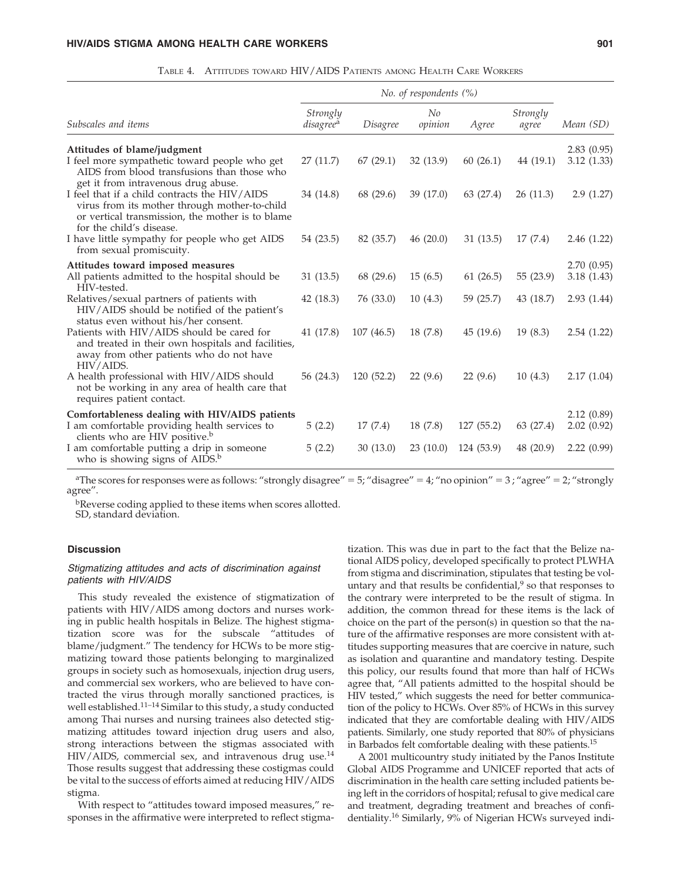| TABLE 4. ATTITUDES TOWARD HIV/AIDS PATIENTS AMONG HEALTH CARE WORKERS |  |  |  |  |  |  |  |
|-----------------------------------------------------------------------|--|--|--|--|--|--|--|
|-----------------------------------------------------------------------|--|--|--|--|--|--|--|

|                                                                                                                                                                                |                                   |            | No. of respondents $(\%)$ |            |                   |                          |
|--------------------------------------------------------------------------------------------------------------------------------------------------------------------------------|-----------------------------------|------------|---------------------------|------------|-------------------|--------------------------|
| Subscales and items                                                                                                                                                            | Strongly<br>disagree <sup>a</sup> | Disagree   | No<br>opinion             | Agree      | Strongly<br>agree | Mean (SD)                |
| Attitudes of blame/judgment                                                                                                                                                    |                                   |            |                           |            |                   | 2.83(0.95)               |
| I feel more sympathetic toward people who get<br>AIDS from blood transfusions than those who<br>get it from intravenous drug abuse.                                            | 27(11.7)                          | 67(29.1)   | 32(13.9)                  | 60(26.1)   | 44 (19.1)         | 3.12(1.33)               |
| I feel that if a child contracts the HIV/AIDS<br>virus from its mother through mother-to-child<br>or vertical transmission, the mother is to blame<br>for the child's disease. | 34 (14.8)                         | 68 (29.6)  | 39 (17.0)                 | 63 (27.4)  | 26(11.3)          | 2.9(1.27)                |
| I have little sympathy for people who get AIDS<br>from sexual promiscuity.                                                                                                     | 54 (23.5)                         | 82 (35.7)  | 46(20.0)                  | 31(13.5)   | 17(7.4)           | 2.46 (1.22)              |
| Attitudes toward imposed measures                                                                                                                                              |                                   |            |                           |            |                   | 2.70(0.95)               |
| All patients admitted to the hospital should be<br>HIV-tested.                                                                                                                 | 31(13.5)                          | 68 (29.6)  | 15(6.5)                   | 61(26.5)   | 55(23.9)          | 3.18(1.43)               |
| Relatives/sexual partners of patients with<br>HIV/AIDS should be notified of the patient's<br>status even without his/her consent.                                             | 42 (18.3)                         | 76 (33.0)  | 10(4.3)                   | 59 (25.7)  | 43 (18.7)         | 2.93(1.44)               |
| Patients with HIV/AIDS should be cared for<br>and treated in their own hospitals and facilities,<br>away from other patients who do not have<br>HIV/AIDS.                      | 41 (17.8)                         | 107(46.5)  | 18(7.8)                   | 45 (19.6)  | 19(8.3)           | 2.54(1.22)               |
| A health professional with HIV/AIDS should<br>not be working in any area of health care that<br>requires patient contact.                                                      | 56 (24.3)                         | 120 (52.2) | 22(9.6)                   | 22(9.6)    | 10(4.3)           | 2.17(1.04)               |
| Comfortableness dealing with HIV/AIDS patients<br>I am comfortable providing health services to<br>clients who are HIV positive. <sup>b</sup>                                  | 5(2.2)                            | 17(7.4)    | 18 (7.8)                  | 127(55.2)  | 63 (27.4)         | 2.12(0.89)<br>2.02(0.92) |
| I am comfortable putting a drip in someone<br>who is showing signs of AIDS. <sup>b</sup>                                                                                       | 5(2.2)                            | 30(13.0)   | 23(10.0)                  | 124 (53.9) | 48 (20.9)         | 2.22(0.99)               |

<sup>a</sup>The scores for responses were as follows: "strongly disagree" = 5; "disagree" = 4; "no opinion" = 3; "agree" = 2; "strongly agree".

<sup>b</sup>Reverse coding applied to these items when scores allotted.

SD, standard deviation.

## **Discussion**

## Stigmatizing attitudes and acts of discrimination against patients with HIV/AIDS

This study revealed the existence of stigmatization of patients with HIV/AIDS among doctors and nurses working in public health hospitals in Belize. The highest stigmatization score was for the subscale "attitudes of blame/judgment." The tendency for HCWs to be more stigmatizing toward those patients belonging to marginalized groups in society such as homosexuals, injection drug users, and commercial sex workers, who are believed to have contracted the virus through morally sanctioned practices, is well established.<sup>11–14</sup> Similar to this study, a study conducted among Thai nurses and nursing trainees also detected stigmatizing attitudes toward injection drug users and also, strong interactions between the stigmas associated with  $HIV/AIDS$ , commercial sex, and intravenous drug use.<sup>14</sup> Those results suggest that addressing these costigmas could be vital to the success of efforts aimed at reducing HIV/AIDS stigma.

With respect to "attitudes toward imposed measures," responses in the affirmative were interpreted to reflect stigmatization. This was due in part to the fact that the Belize national AIDS policy, developed specifically to protect PLWHA from stigma and discrimination, stipulates that testing be voluntary and that results be confidential, $9$  so that responses to the contrary were interpreted to be the result of stigma. In addition, the common thread for these items is the lack of choice on the part of the person(s) in question so that the nature of the affirmative responses are more consistent with attitudes supporting measures that are coercive in nature, such as isolation and quarantine and mandatory testing. Despite this policy, our results found that more than half of HCWs agree that, "All patients admitted to the hospital should be HIV tested," which suggests the need for better communication of the policy to HCWs. Over 85% of HCWs in this survey indicated that they are comfortable dealing with HIV/AIDS patients. Similarly, one study reported that 80% of physicians in Barbados felt comfortable dealing with these patients.15

A 2001 multicountry study initiated by the Panos Institute Global AIDS Programme and UNICEF reported that acts of discrimination in the health care setting included patients being left in the corridors of hospital; refusal to give medical care and treatment, degrading treatment and breaches of confidentiality.16 Similarly, 9% of Nigerian HCWs surveyed indi-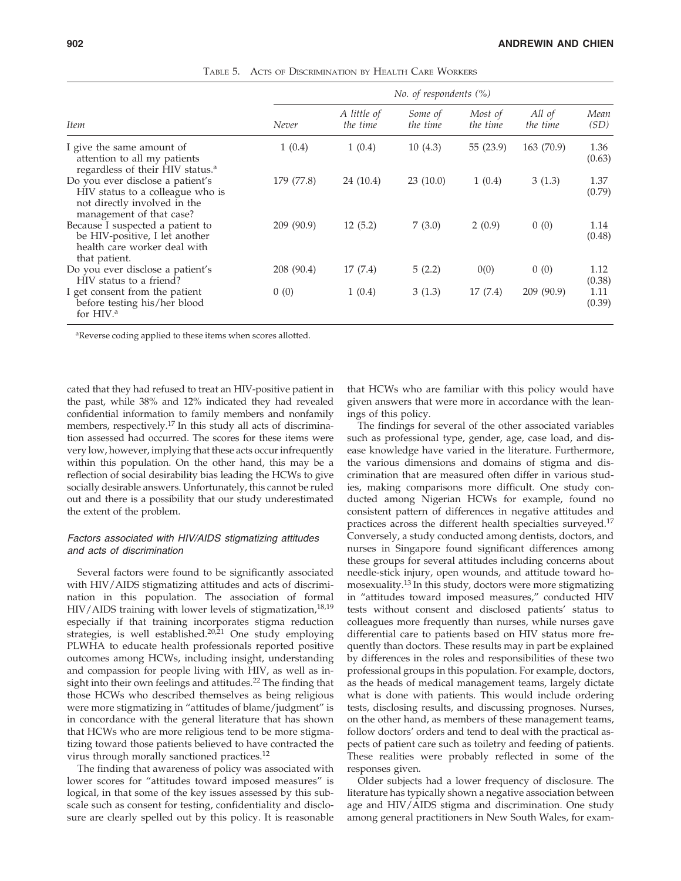|                                                                                                                                  |            |                         | No. of respondents $(\%)$ |                     |                    |                |
|----------------------------------------------------------------------------------------------------------------------------------|------------|-------------------------|---------------------------|---------------------|--------------------|----------------|
| <i>Item</i>                                                                                                                      | Never      | A little of<br>the time | Some of<br>the time       | Most of<br>the time | All of<br>the time | Mean<br>(SD)   |
| I give the same amount of<br>attention to all my patients<br>regardless of their HIV status. <sup>a</sup>                        | 1(0.4)     | 1(0.4)                  | 10(4.3)                   | 55 (23.9)           | 163 (70.9)         | 1.36<br>(0.63) |
| Do you ever disclose a patient's<br>HIV status to a colleague who is<br>not directly involved in the<br>management of that case? | 179 (77.8) | 24 (10.4)               | 23(10.0)                  | 1(0.4)              | 3(1.3)             | 1.37<br>(0.79) |
| Because I suspected a patient to<br>be HIV-positive, I let another<br>health care worker deal with<br>that patient.              | 209 (90.9) | 12(5.2)                 | 7(3.0)                    | 2(0.9)              | 0(0)               | 1.14<br>(0.48) |
| Do you ever disclose a patient's<br>HIV status to a friend?                                                                      | 208 (90.4) | 17(7.4)                 | 5(2.2)                    | 0(0)                | 0(0)               | 1.12<br>(0.38) |
| I get consent from the patient<br>before testing his/her blood<br>for HIV. <sup>a</sup>                                          | 0(0)       | 1(0.4)                  | 3(1.3)                    | 17(7.4)             | 209 (90.9)         | 1.11<br>(0.39) |

TABLE 5. ACTS OF DISCRIMINATION BY HEALTH CARE WORKERS

aReverse coding applied to these items when scores allotted.

cated that they had refused to treat an HIV-positive patient in the past, while 38% and 12% indicated they had revealed confidential information to family members and nonfamily members, respectively.<sup>17</sup> In this study all acts of discrimination assessed had occurred. The scores for these items were very low, however, implying that these acts occur infrequently within this population. On the other hand, this may be a reflection of social desirability bias leading the HCWs to give socially desirable answers. Unfortunately, this cannot be ruled out and there is a possibility that our study underestimated the extent of the problem.

## Factors associated with HIV/AIDS stigmatizing attitudes and acts of discrimination

Several factors were found to be significantly associated with HIV/AIDS stigmatizing attitudes and acts of discrimination in this population. The association of formal HIV/AIDS training with lower levels of stigmatization,<sup>18,19</sup> especially if that training incorporates stigma reduction strategies, is well established.<sup>20,21</sup> One study employing PLWHA to educate health professionals reported positive outcomes among HCWs, including insight, understanding and compassion for people living with HIV, as well as insight into their own feelings and attitudes.<sup>22</sup> The finding that those HCWs who described themselves as being religious were more stigmatizing in "attitudes of blame/judgment" is in concordance with the general literature that has shown that HCWs who are more religious tend to be more stigmatizing toward those patients believed to have contracted the virus through morally sanctioned practices.<sup>12</sup>

The finding that awareness of policy was associated with lower scores for "attitudes toward imposed measures" is logical, in that some of the key issues assessed by this subscale such as consent for testing, confidentiality and disclosure are clearly spelled out by this policy. It is reasonable that HCWs who are familiar with this policy would have given answers that were more in accordance with the leanings of this policy.

The findings for several of the other associated variables such as professional type, gender, age, case load, and disease knowledge have varied in the literature. Furthermore, the various dimensions and domains of stigma and discrimination that are measured often differ in various studies, making comparisons more difficult. One study conducted among Nigerian HCWs for example, found no consistent pattern of differences in negative attitudes and practices across the different health specialties surveyed.<sup>17</sup> Conversely, a study conducted among dentists, doctors, and nurses in Singapore found significant differences among these groups for several attitudes including concerns about needle-stick injury, open wounds, and attitude toward homosexuality.13 In this study, doctors were more stigmatizing in "attitudes toward imposed measures," conducted HIV tests without consent and disclosed patients' status to colleagues more frequently than nurses, while nurses gave differential care to patients based on HIV status more frequently than doctors. These results may in part be explained by differences in the roles and responsibilities of these two professional groups in this population. For example, doctors, as the heads of medical management teams, largely dictate what is done with patients. This would include ordering tests, disclosing results, and discussing prognoses. Nurses, on the other hand, as members of these management teams, follow doctors' orders and tend to deal with the practical aspects of patient care such as toiletry and feeding of patients. These realities were probably reflected in some of the responses given.

Older subjects had a lower frequency of disclosure. The literature has typically shown a negative association between age and HIV/AIDS stigma and discrimination. One study among general practitioners in New South Wales, for exam-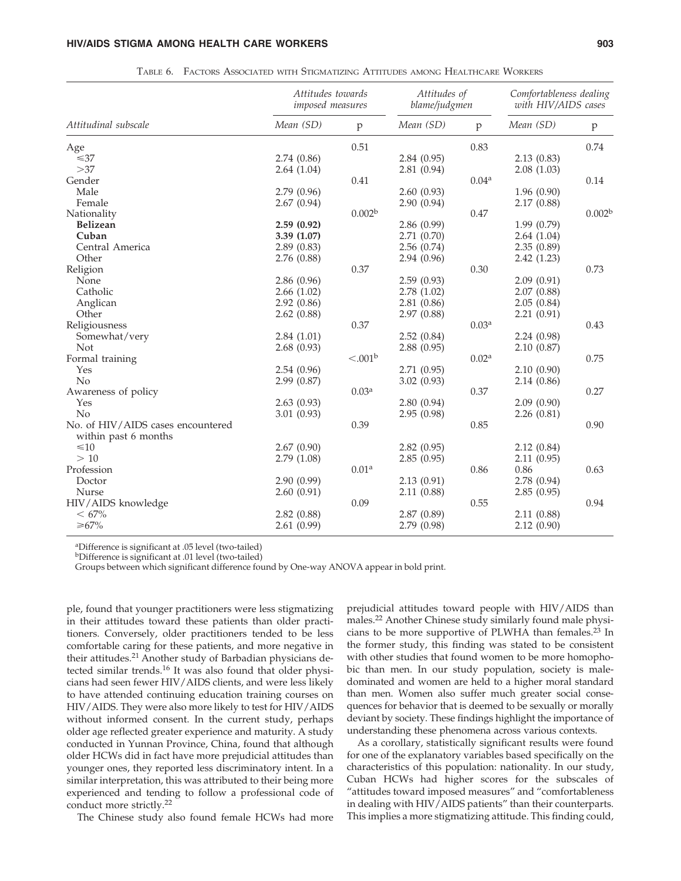## **HIV/AIDS STIGMA AMONG HEALTH CARE WORKERS 903**

|                                   | Attitudes towards<br>imposed measures |                      | Attitudes of<br>blame/judgmen |                   | Comfortableness dealing<br>with HIV/AIDS cases |                    |
|-----------------------------------|---------------------------------------|----------------------|-------------------------------|-------------------|------------------------------------------------|--------------------|
| Attitudinal subscale              | Mean (SD)                             | $\mathbf{p}$         | Mean (SD)                     | p                 | Mean (SD)                                      | $\rm p$            |
| Age                               |                                       | 0.51                 |                               | 0.83              |                                                | 0.74               |
| $\leq 37$                         | 2.74(0.86)                            |                      | 2.84(0.95)                    |                   | 2.13(0.83)                                     |                    |
| >37                               | 2.64(1.04)                            |                      | 2.81(0.94)                    |                   | 2.08(1.03)                                     |                    |
| Gender                            |                                       | 0.41                 |                               | 0.04 <sup>a</sup> |                                                | 0.14               |
| Male                              | 2.79(0.96)                            |                      | 2.60(0.93)                    |                   | 1.96(0.90)                                     |                    |
| Female                            | 2.67(0.94)                            |                      | 2.90(0.94)                    |                   | 2.17(0.88)                                     |                    |
| Nationality                       |                                       | 0.002 <sup>b</sup>   |                               | 0.47              |                                                | 0.002 <sup>b</sup> |
| <b>Belizean</b>                   | 2.59(0.92)                            |                      | 2.86(0.99)                    |                   | 1.99(0.79)                                     |                    |
| Cuban                             | 3.39(1.07)                            |                      | 2.71(0.70)                    |                   | 2.64(1.04)                                     |                    |
| Central America                   | 2.89(0.83)                            |                      | 2.56(0.74)                    |                   | 2.35(0.89)                                     |                    |
| Other                             | 2.76 (0.88)                           |                      | 2.94(0.96)                    |                   | 2.42 (1.23)                                    |                    |
| Religion                          |                                       | 0.37                 |                               | 0.30              |                                                | 0.73               |
| None                              | 2.86(0.96)                            |                      | 2.59(0.93)                    |                   | 2.09(0.91)                                     |                    |
| Catholic                          | 2.66(1.02)                            |                      | 2.78(1.02)                    |                   | 2.07(0.88)                                     |                    |
| Anglican                          | 2.92(0.86)                            |                      | 2.81(0.86)                    |                   | 2.05(0.84)                                     |                    |
| Other                             | 2.62(0.88)                            |                      | 2.97(0.88)                    |                   | 2.21(0.91)                                     |                    |
| Religiousness                     |                                       | 0.37                 |                               | 0.03 <sup>a</sup> |                                                | 0.43               |
| Somewhat/very                     | 2.84(1.01)                            |                      | 2.52(0.84)                    |                   | 2.24(0.98)                                     |                    |
| <b>Not</b>                        | 2.68(0.93)                            |                      | 2.88(0.95)                    |                   | 2.10(0.87)                                     |                    |
| Formal training                   |                                       | < 0.001 <sup>b</sup> |                               | 0.02 <sup>a</sup> |                                                | 0.75               |
| Yes                               | 2.54(0.96)                            |                      | 2.71(0.95)                    |                   | 2.10(0.90)                                     |                    |
| No                                | 2.99(0.87)                            |                      | 3.02(0.93)                    |                   | 2.14 (0.86)                                    |                    |
| Awareness of policy               |                                       | 0.03 <sup>a</sup>    |                               | 0.37              |                                                | 0.27               |
| Yes                               | 2.63(0.93)                            |                      | 2.80(0.94)                    |                   | 2.09(0.90)                                     |                    |
| No                                | 3.01(0.93)                            |                      | 2.95(0.98)                    |                   | 2.26(0.81)                                     |                    |
| No. of HIV/AIDS cases encountered |                                       | 0.39                 |                               | 0.85              |                                                | 0.90               |
| within past 6 months              |                                       |                      |                               |                   |                                                |                    |
| $\leq 10$                         | 2.67(0.90)                            |                      | 2.82(0.95)                    |                   | 2.12(0.84)                                     |                    |
| >10                               | 2.79(1.08)                            |                      | 2.85(0.95)                    |                   | 2.11(0.95)                                     |                    |
| Profession                        |                                       | 0.01 <sup>a</sup>    |                               | 0.86              | 0.86                                           | 0.63               |
| Doctor                            | 2.90(0.99)                            |                      | 2.13(0.91)                    |                   | 2.78(0.94)                                     |                    |
| Nurse                             | 2.60(0.91)                            |                      | 2.11(0.88)                    |                   | 2.85(0.95)                                     |                    |
| HIV/AIDS knowledge                |                                       | 0.09                 |                               | 0.55              |                                                | 0.94               |
| $< 67\%$                          | 2.82(0.88)                            |                      | 2.87(0.89)                    |                   | 2.11(0.88)                                     |                    |
| $\geq 67\%$                       | 2.61(0.99)                            |                      | 2.79 (0.98)                   |                   | 2.12(0.90)                                     |                    |

| Table 6.   Factors Associated with Stigmatizing Attitudes among Healthcare Workers |
|------------------------------------------------------------------------------------|
|------------------------------------------------------------------------------------|

aDifference is significant at .05 level (two-tailed)

bDifference is significant at .01 level (two-tailed)

Groups between which significant difference found by One-way ANOVA appear in bold print.

ple, found that younger practitioners were less stigmatizing in their attitudes toward these patients than older practitioners. Conversely, older practitioners tended to be less comfortable caring for these patients, and more negative in their attitudes.<sup>21</sup> Another study of Barbadian physicians detected similar trends.<sup>16</sup> It was also found that older physicians had seen fewer HIV/AIDS clients, and were less likely to have attended continuing education training courses on HIV/AIDS. They were also more likely to test for HIV/AIDS without informed consent. In the current study, perhaps older age reflected greater experience and maturity. A study conducted in Yunnan Province, China, found that although older HCWs did in fact have more prejudicial attitudes than younger ones, they reported less discriminatory intent. In a similar interpretation, this was attributed to their being more experienced and tending to follow a professional code of conduct more strictly.<sup>22</sup>

The Chinese study also found female HCWs had more

prejudicial attitudes toward people with HIV/AIDS than males.<sup>22</sup> Another Chinese study similarly found male physicians to be more supportive of PLWHA than females.<sup>23</sup> In the former study, this finding was stated to be consistent with other studies that found women to be more homophobic than men. In our study population, society is maledominated and women are held to a higher moral standard than men. Women also suffer much greater social consequences for behavior that is deemed to be sexually or morally deviant by society. These findings highlight the importance of understanding these phenomena across various contexts.

As a corollary, statistically significant results were found for one of the explanatory variables based specifically on the characteristics of this population: nationality. In our study, Cuban HCWs had higher scores for the subscales of "attitudes toward imposed measures" and "comfortableness in dealing with HIV/AIDS patients" than their counterparts. This implies a more stigmatizing attitude. This finding could,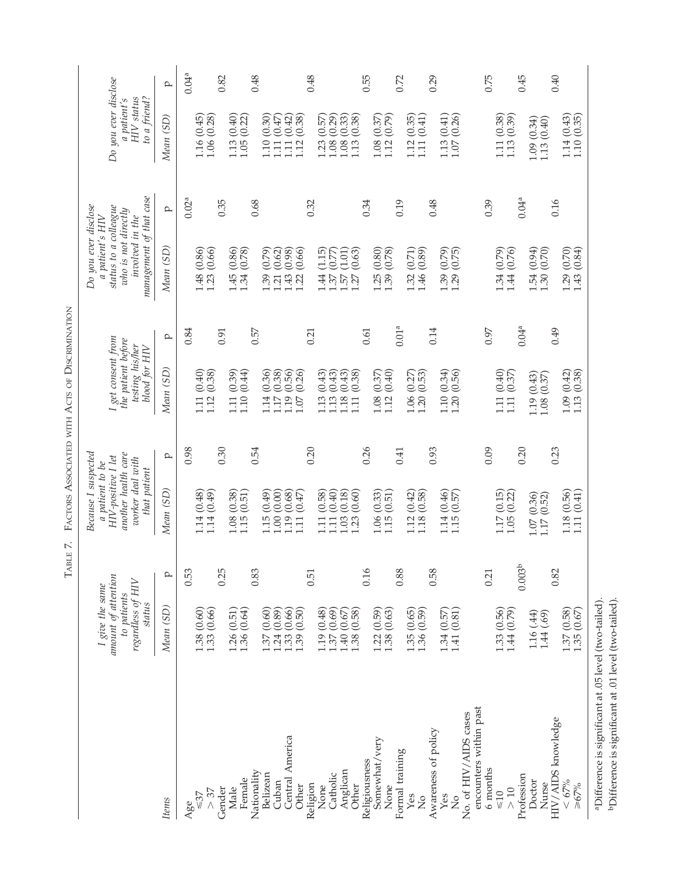| 0.04 <sup>a</sup><br>0.48<br>0.48<br>0.55<br>0.72<br>0.75<br>0.45<br>0.40<br>0.82<br>0.29<br>$\mathbf{p}$<br>1.13 (0.40)<br>$1.13(0.41)$ $1.07(0.26)$<br>1.14 (0.43)<br>(0.30)<br>(0.38)<br>(0.35)<br>1.11 (0.38)<br>1.13(0.39)<br>1.10 (0.35)<br>Mean (SD)<br>1.16 (0.45)<br>1.06 (0.28)<br>(0.38)<br>(0.79)<br>(0.22)<br>(0.42)<br>(0.57)<br>(0.29)<br>(0.33)<br>(0.37)<br>(0.47)<br>(0.41)<br>1.13 (0.40)<br>1.09(0.34)<br>1.12<br>1.05<br>1.08<br>1.08<br>1.12<br>111<br>1.10<br>1.08<br>1.13<br>$\overline{111}$<br>1.11<br>1.23<br>1.12<br>$0.02^{a}$<br>0.04 <sup>a</sup><br>0.16<br>0.35<br>0.19<br>0.48<br>0.68<br>0.32<br>0.34<br>0.39<br>p<br>Mean (SD)<br>1.29 (0.70)<br>1.48 (0.86)<br>1.45 (0.86)<br>(0.98)<br>(0.66)<br>(0.80)<br>(6.0)<br>1.30 (0.70)<br>(0.84)<br>1.23 (0.66)<br>(0.78)<br>(0.79)<br>(0.78)<br>(0.71)<br>(0.89)<br>1.39 (0.79)<br>(0.75)<br>1.34 (0.79)<br>(0.76)<br>(0.62)<br>(1.15)<br>(0.63)<br>(1.01)<br>(0.77)<br>1.32<br>1.46<br>1.54<br>1.43<br>1.34<br>1.39<br>1.29<br>1.43<br>1.25<br>1.44<br>1.39<br>1.22<br>1.44<br>1.57<br>1.27<br>1.21<br>1.37<br>0.01 <sup>a</sup><br>0.04 <sup>a</sup><br>0.84<br>0.14<br>0.97<br>0.57<br>64.0<br>0.21<br>0.61<br>0.91<br>$\mathbf{p}$<br>Mean (SD)<br>1.11 (0.39)<br>1.10(0.34)<br>(0.40)<br>(0.38)<br>1.11 (0.40)<br>1.12 (0.38)<br>(0.44)<br>(0.38)<br>(0.40)<br>(0.56)<br>1.09(0.42)<br>(0.36)<br>(0.38)<br>(0.56)<br>(0.26)<br>(0.43)<br>(0.53)<br>(0.43)<br>(0.43)<br>(0.37)<br>(0.27)<br>(0.37)<br>1.19 (0.43)<br>1.08(0.37)<br>1.11 <sub>1</sub><br>1.19 <sub>0</sub><br>1.08<br>1.12<br>1.06<br>1.20<br>1.20<br>1.11<br>1.13<br>1.10<br>1.14<br>1.18<br>1.17<br>1.13<br>$1.07$<br>1.13<br>111<br>0.26<br>0.98<br>0.30<br>0.20<br>0.93<br>0.09<br>0.20<br>0.23<br>0.54<br>0.41<br>p<br>Mean (SD)<br>1.18 (0.56)<br>$\begin{array}{c} 1.08\ (0.38) \\ 1.15\ (0.51) \end{array}$<br>$1.14(0.46)$<br>$1.15(0.57)$<br>1.11(0.41)<br>1.14(0.48)<br>1.14 (0.49)<br>(0.00)<br>(0.68)<br>(0.40)<br>(0.60)<br>(0.33)<br>(0.58)<br>(0.49)<br>(0.58)<br>(0.18)<br>(0.42)<br>1.17 (0.15)<br>(0.47)<br>1.05(0.22)<br>(0.51)<br>1.07 (0.36)<br>1.17 (0.52)<br>1.06<br>1.15<br>1.12<br>1.15<br>1.19<br>1.18<br>1.15<br>1.00<br>1.03<br>1.23<br>111<br>111<br>1.11<br>0.003 <sup>b</sup><br>0.25<br>0.53<br>0.83<br>0.16<br>0.88<br>0.58<br>0.82<br>0.21<br>0.51<br>≏<br>Mean (SD)<br>$1.26(0.51)$<br>$1.36(0.64)$<br>$1.37(0.58)$<br>$1.35(0.67)$<br>1.33 (0.66)<br>(0.50)<br>1.38 (0.60)<br>(0.66)<br>1.22(0.59)<br>$1.35(0.65)$<br>$1.36(0.59)$<br>1.33 (0.56)<br>(0.60)<br>(0.89)<br>(0.48)<br>(0.69)<br>1.38(0.63)<br>1.34 (0.57)<br>1.41 (0.81)<br>1.44(0.79)<br>$1.40\ (0.67) \\ 1.38\ (0.58)$<br>$1.16(.44)$<br>$1.44(.69)$<br>1.24<br>1.33<br>1.19<br>1.37<br>1.39<br>1.37<br>encounters within past<br>No. of HIV/AIDS cases<br>HIV/AIDS knowledge<br>Awareness of policy<br>Central America<br>Somewhat/very<br>Formal training<br>Religiousness<br>6 months<br>Anglican<br>Nationality<br>Catholic<br>Belizean<br>Profession<br>Female<br>$<67\%$<br>Doctor<br>Cuban<br>Nurse<br>Religion<br>Other<br>$\ge 67\%$<br>Other<br>None<br>None<br>Gender<br>Male<br>$>10$<br>$\lesssim$<br>$\leq 10$<br>$55\%$<br>Yes<br>Yes<br>$\frac{1}{2}$<br>$\tilde{\mathsf{z}}$<br>Items<br>Age | amount of attention<br>regardless of HIV<br>I give the same<br>to patients<br>status | Because I suspected<br>another health care<br>HIV-positive I let<br>vorker deal with<br>a patient to be<br>that patient | I get consent from<br>the patient before<br>testing his/her<br>blood for HIV | management of that case<br>Do you ever disclose<br>status to a colleague<br>who is not directly<br>a patient's HIV<br>involved in the | Do you ever disclose<br><b>HIV</b> status<br>to a friend?<br>a patient's |  |
|----------------------------------------------------------------------------------------------------------------------------------------------------------------------------------------------------------------------------------------------------------------------------------------------------------------------------------------------------------------------------------------------------------------------------------------------------------------------------------------------------------------------------------------------------------------------------------------------------------------------------------------------------------------------------------------------------------------------------------------------------------------------------------------------------------------------------------------------------------------------------------------------------------------------------------------------------------------------------------------------------------------------------------------------------------------------------------------------------------------------------------------------------------------------------------------------------------------------------------------------------------------------------------------------------------------------------------------------------------------------------------------------------------------------------------------------------------------------------------------------------------------------------------------------------------------------------------------------------------------------------------------------------------------------------------------------------------------------------------------------------------------------------------------------------------------------------------------------------------------------------------------------------------------------------------------------------------------------------------------------------------------------------------------------------------------------------------------------------------------------------------------------------------------------------------------------------------------------------------------------------------------------------------------------------------------------------------------------------------------------------------------------------------------------------------------------------------------------------------------------------------------------------------------------------------------------------------------------------------------------------------------------------------------------------------------------------------------------------------------------------------------------------------------------------------------------------------------------------------------------------------------------------------------------------------------------------------------------------------------------------------------------------------------------------------------------------------------------------------------------------------------------------------------------------------------------------------------------------------------------------------------------|--------------------------------------------------------------------------------------|-------------------------------------------------------------------------------------------------------------------------|------------------------------------------------------------------------------|---------------------------------------------------------------------------------------------------------------------------------------|--------------------------------------------------------------------------|--|
|                                                                                                                                                                                                                                                                                                                                                                                                                                                                                                                                                                                                                                                                                                                                                                                                                                                                                                                                                                                                                                                                                                                                                                                                                                                                                                                                                                                                                                                                                                                                                                                                                                                                                                                                                                                                                                                                                                                                                                                                                                                                                                                                                                                                                                                                                                                                                                                                                                                                                                                                                                                                                                                                                                                                                                                                                                                                                                                                                                                                                                                                                                                                                                                                                                                                      |                                                                                      |                                                                                                                         |                                                                              |                                                                                                                                       |                                                                          |  |
|                                                                                                                                                                                                                                                                                                                                                                                                                                                                                                                                                                                                                                                                                                                                                                                                                                                                                                                                                                                                                                                                                                                                                                                                                                                                                                                                                                                                                                                                                                                                                                                                                                                                                                                                                                                                                                                                                                                                                                                                                                                                                                                                                                                                                                                                                                                                                                                                                                                                                                                                                                                                                                                                                                                                                                                                                                                                                                                                                                                                                                                                                                                                                                                                                                                                      |                                                                                      |                                                                                                                         |                                                                              |                                                                                                                                       |                                                                          |  |
|                                                                                                                                                                                                                                                                                                                                                                                                                                                                                                                                                                                                                                                                                                                                                                                                                                                                                                                                                                                                                                                                                                                                                                                                                                                                                                                                                                                                                                                                                                                                                                                                                                                                                                                                                                                                                                                                                                                                                                                                                                                                                                                                                                                                                                                                                                                                                                                                                                                                                                                                                                                                                                                                                                                                                                                                                                                                                                                                                                                                                                                                                                                                                                                                                                                                      |                                                                                      |                                                                                                                         |                                                                              |                                                                                                                                       |                                                                          |  |
|                                                                                                                                                                                                                                                                                                                                                                                                                                                                                                                                                                                                                                                                                                                                                                                                                                                                                                                                                                                                                                                                                                                                                                                                                                                                                                                                                                                                                                                                                                                                                                                                                                                                                                                                                                                                                                                                                                                                                                                                                                                                                                                                                                                                                                                                                                                                                                                                                                                                                                                                                                                                                                                                                                                                                                                                                                                                                                                                                                                                                                                                                                                                                                                                                                                                      |                                                                                      |                                                                                                                         |                                                                              |                                                                                                                                       |                                                                          |  |
|                                                                                                                                                                                                                                                                                                                                                                                                                                                                                                                                                                                                                                                                                                                                                                                                                                                                                                                                                                                                                                                                                                                                                                                                                                                                                                                                                                                                                                                                                                                                                                                                                                                                                                                                                                                                                                                                                                                                                                                                                                                                                                                                                                                                                                                                                                                                                                                                                                                                                                                                                                                                                                                                                                                                                                                                                                                                                                                                                                                                                                                                                                                                                                                                                                                                      |                                                                                      |                                                                                                                         |                                                                              |                                                                                                                                       |                                                                          |  |
|                                                                                                                                                                                                                                                                                                                                                                                                                                                                                                                                                                                                                                                                                                                                                                                                                                                                                                                                                                                                                                                                                                                                                                                                                                                                                                                                                                                                                                                                                                                                                                                                                                                                                                                                                                                                                                                                                                                                                                                                                                                                                                                                                                                                                                                                                                                                                                                                                                                                                                                                                                                                                                                                                                                                                                                                                                                                                                                                                                                                                                                                                                                                                                                                                                                                      |                                                                                      |                                                                                                                         |                                                                              |                                                                                                                                       |                                                                          |  |
|                                                                                                                                                                                                                                                                                                                                                                                                                                                                                                                                                                                                                                                                                                                                                                                                                                                                                                                                                                                                                                                                                                                                                                                                                                                                                                                                                                                                                                                                                                                                                                                                                                                                                                                                                                                                                                                                                                                                                                                                                                                                                                                                                                                                                                                                                                                                                                                                                                                                                                                                                                                                                                                                                                                                                                                                                                                                                                                                                                                                                                                                                                                                                                                                                                                                      |                                                                                      |                                                                                                                         |                                                                              |                                                                                                                                       |                                                                          |  |
|                                                                                                                                                                                                                                                                                                                                                                                                                                                                                                                                                                                                                                                                                                                                                                                                                                                                                                                                                                                                                                                                                                                                                                                                                                                                                                                                                                                                                                                                                                                                                                                                                                                                                                                                                                                                                                                                                                                                                                                                                                                                                                                                                                                                                                                                                                                                                                                                                                                                                                                                                                                                                                                                                                                                                                                                                                                                                                                                                                                                                                                                                                                                                                                                                                                                      |                                                                                      |                                                                                                                         |                                                                              |                                                                                                                                       |                                                                          |  |
|                                                                                                                                                                                                                                                                                                                                                                                                                                                                                                                                                                                                                                                                                                                                                                                                                                                                                                                                                                                                                                                                                                                                                                                                                                                                                                                                                                                                                                                                                                                                                                                                                                                                                                                                                                                                                                                                                                                                                                                                                                                                                                                                                                                                                                                                                                                                                                                                                                                                                                                                                                                                                                                                                                                                                                                                                                                                                                                                                                                                                                                                                                                                                                                                                                                                      |                                                                                      |                                                                                                                         |                                                                              |                                                                                                                                       |                                                                          |  |
|                                                                                                                                                                                                                                                                                                                                                                                                                                                                                                                                                                                                                                                                                                                                                                                                                                                                                                                                                                                                                                                                                                                                                                                                                                                                                                                                                                                                                                                                                                                                                                                                                                                                                                                                                                                                                                                                                                                                                                                                                                                                                                                                                                                                                                                                                                                                                                                                                                                                                                                                                                                                                                                                                                                                                                                                                                                                                                                                                                                                                                                                                                                                                                                                                                                                      |                                                                                      |                                                                                                                         |                                                                              |                                                                                                                                       |                                                                          |  |
|                                                                                                                                                                                                                                                                                                                                                                                                                                                                                                                                                                                                                                                                                                                                                                                                                                                                                                                                                                                                                                                                                                                                                                                                                                                                                                                                                                                                                                                                                                                                                                                                                                                                                                                                                                                                                                                                                                                                                                                                                                                                                                                                                                                                                                                                                                                                                                                                                                                                                                                                                                                                                                                                                                                                                                                                                                                                                                                                                                                                                                                                                                                                                                                                                                                                      |                                                                                      |                                                                                                                         |                                                                              |                                                                                                                                       |                                                                          |  |
|                                                                                                                                                                                                                                                                                                                                                                                                                                                                                                                                                                                                                                                                                                                                                                                                                                                                                                                                                                                                                                                                                                                                                                                                                                                                                                                                                                                                                                                                                                                                                                                                                                                                                                                                                                                                                                                                                                                                                                                                                                                                                                                                                                                                                                                                                                                                                                                                                                                                                                                                                                                                                                                                                                                                                                                                                                                                                                                                                                                                                                                                                                                                                                                                                                                                      |                                                                                      |                                                                                                                         |                                                                              |                                                                                                                                       |                                                                          |  |
|                                                                                                                                                                                                                                                                                                                                                                                                                                                                                                                                                                                                                                                                                                                                                                                                                                                                                                                                                                                                                                                                                                                                                                                                                                                                                                                                                                                                                                                                                                                                                                                                                                                                                                                                                                                                                                                                                                                                                                                                                                                                                                                                                                                                                                                                                                                                                                                                                                                                                                                                                                                                                                                                                                                                                                                                                                                                                                                                                                                                                                                                                                                                                                                                                                                                      |                                                                                      |                                                                                                                         |                                                                              |                                                                                                                                       |                                                                          |  |
|                                                                                                                                                                                                                                                                                                                                                                                                                                                                                                                                                                                                                                                                                                                                                                                                                                                                                                                                                                                                                                                                                                                                                                                                                                                                                                                                                                                                                                                                                                                                                                                                                                                                                                                                                                                                                                                                                                                                                                                                                                                                                                                                                                                                                                                                                                                                                                                                                                                                                                                                                                                                                                                                                                                                                                                                                                                                                                                                                                                                                                                                                                                                                                                                                                                                      |                                                                                      |                                                                                                                         |                                                                              |                                                                                                                                       |                                                                          |  |
|                                                                                                                                                                                                                                                                                                                                                                                                                                                                                                                                                                                                                                                                                                                                                                                                                                                                                                                                                                                                                                                                                                                                                                                                                                                                                                                                                                                                                                                                                                                                                                                                                                                                                                                                                                                                                                                                                                                                                                                                                                                                                                                                                                                                                                                                                                                                                                                                                                                                                                                                                                                                                                                                                                                                                                                                                                                                                                                                                                                                                                                                                                                                                                                                                                                                      |                                                                                      |                                                                                                                         |                                                                              |                                                                                                                                       |                                                                          |  |
|                                                                                                                                                                                                                                                                                                                                                                                                                                                                                                                                                                                                                                                                                                                                                                                                                                                                                                                                                                                                                                                                                                                                                                                                                                                                                                                                                                                                                                                                                                                                                                                                                                                                                                                                                                                                                                                                                                                                                                                                                                                                                                                                                                                                                                                                                                                                                                                                                                                                                                                                                                                                                                                                                                                                                                                                                                                                                                                                                                                                                                                                                                                                                                                                                                                                      |                                                                                      |                                                                                                                         |                                                                              |                                                                                                                                       |                                                                          |  |
|                                                                                                                                                                                                                                                                                                                                                                                                                                                                                                                                                                                                                                                                                                                                                                                                                                                                                                                                                                                                                                                                                                                                                                                                                                                                                                                                                                                                                                                                                                                                                                                                                                                                                                                                                                                                                                                                                                                                                                                                                                                                                                                                                                                                                                                                                                                                                                                                                                                                                                                                                                                                                                                                                                                                                                                                                                                                                                                                                                                                                                                                                                                                                                                                                                                                      |                                                                                      |                                                                                                                         |                                                                              |                                                                                                                                       |                                                                          |  |
|                                                                                                                                                                                                                                                                                                                                                                                                                                                                                                                                                                                                                                                                                                                                                                                                                                                                                                                                                                                                                                                                                                                                                                                                                                                                                                                                                                                                                                                                                                                                                                                                                                                                                                                                                                                                                                                                                                                                                                                                                                                                                                                                                                                                                                                                                                                                                                                                                                                                                                                                                                                                                                                                                                                                                                                                                                                                                                                                                                                                                                                                                                                                                                                                                                                                      |                                                                                      |                                                                                                                         |                                                                              |                                                                                                                                       |                                                                          |  |
|                                                                                                                                                                                                                                                                                                                                                                                                                                                                                                                                                                                                                                                                                                                                                                                                                                                                                                                                                                                                                                                                                                                                                                                                                                                                                                                                                                                                                                                                                                                                                                                                                                                                                                                                                                                                                                                                                                                                                                                                                                                                                                                                                                                                                                                                                                                                                                                                                                                                                                                                                                                                                                                                                                                                                                                                                                                                                                                                                                                                                                                                                                                                                                                                                                                                      |                                                                                      |                                                                                                                         |                                                                              |                                                                                                                                       |                                                                          |  |
|                                                                                                                                                                                                                                                                                                                                                                                                                                                                                                                                                                                                                                                                                                                                                                                                                                                                                                                                                                                                                                                                                                                                                                                                                                                                                                                                                                                                                                                                                                                                                                                                                                                                                                                                                                                                                                                                                                                                                                                                                                                                                                                                                                                                                                                                                                                                                                                                                                                                                                                                                                                                                                                                                                                                                                                                                                                                                                                                                                                                                                                                                                                                                                                                                                                                      |                                                                                      |                                                                                                                         |                                                                              |                                                                                                                                       |                                                                          |  |
|                                                                                                                                                                                                                                                                                                                                                                                                                                                                                                                                                                                                                                                                                                                                                                                                                                                                                                                                                                                                                                                                                                                                                                                                                                                                                                                                                                                                                                                                                                                                                                                                                                                                                                                                                                                                                                                                                                                                                                                                                                                                                                                                                                                                                                                                                                                                                                                                                                                                                                                                                                                                                                                                                                                                                                                                                                                                                                                                                                                                                                                                                                                                                                                                                                                                      |                                                                                      |                                                                                                                         |                                                                              |                                                                                                                                       |                                                                          |  |
|                                                                                                                                                                                                                                                                                                                                                                                                                                                                                                                                                                                                                                                                                                                                                                                                                                                                                                                                                                                                                                                                                                                                                                                                                                                                                                                                                                                                                                                                                                                                                                                                                                                                                                                                                                                                                                                                                                                                                                                                                                                                                                                                                                                                                                                                                                                                                                                                                                                                                                                                                                                                                                                                                                                                                                                                                                                                                                                                                                                                                                                                                                                                                                                                                                                                      |                                                                                      |                                                                                                                         |                                                                              |                                                                                                                                       |                                                                          |  |
|                                                                                                                                                                                                                                                                                                                                                                                                                                                                                                                                                                                                                                                                                                                                                                                                                                                                                                                                                                                                                                                                                                                                                                                                                                                                                                                                                                                                                                                                                                                                                                                                                                                                                                                                                                                                                                                                                                                                                                                                                                                                                                                                                                                                                                                                                                                                                                                                                                                                                                                                                                                                                                                                                                                                                                                                                                                                                                                                                                                                                                                                                                                                                                                                                                                                      |                                                                                      |                                                                                                                         |                                                                              |                                                                                                                                       |                                                                          |  |
|                                                                                                                                                                                                                                                                                                                                                                                                                                                                                                                                                                                                                                                                                                                                                                                                                                                                                                                                                                                                                                                                                                                                                                                                                                                                                                                                                                                                                                                                                                                                                                                                                                                                                                                                                                                                                                                                                                                                                                                                                                                                                                                                                                                                                                                                                                                                                                                                                                                                                                                                                                                                                                                                                                                                                                                                                                                                                                                                                                                                                                                                                                                                                                                                                                                                      |                                                                                      |                                                                                                                         |                                                                              |                                                                                                                                       |                                                                          |  |
|                                                                                                                                                                                                                                                                                                                                                                                                                                                                                                                                                                                                                                                                                                                                                                                                                                                                                                                                                                                                                                                                                                                                                                                                                                                                                                                                                                                                                                                                                                                                                                                                                                                                                                                                                                                                                                                                                                                                                                                                                                                                                                                                                                                                                                                                                                                                                                                                                                                                                                                                                                                                                                                                                                                                                                                                                                                                                                                                                                                                                                                                                                                                                                                                                                                                      |                                                                                      |                                                                                                                         |                                                                              |                                                                                                                                       |                                                                          |  |
|                                                                                                                                                                                                                                                                                                                                                                                                                                                                                                                                                                                                                                                                                                                                                                                                                                                                                                                                                                                                                                                                                                                                                                                                                                                                                                                                                                                                                                                                                                                                                                                                                                                                                                                                                                                                                                                                                                                                                                                                                                                                                                                                                                                                                                                                                                                                                                                                                                                                                                                                                                                                                                                                                                                                                                                                                                                                                                                                                                                                                                                                                                                                                                                                                                                                      |                                                                                      |                                                                                                                         |                                                                              |                                                                                                                                       |                                                                          |  |
|                                                                                                                                                                                                                                                                                                                                                                                                                                                                                                                                                                                                                                                                                                                                                                                                                                                                                                                                                                                                                                                                                                                                                                                                                                                                                                                                                                                                                                                                                                                                                                                                                                                                                                                                                                                                                                                                                                                                                                                                                                                                                                                                                                                                                                                                                                                                                                                                                                                                                                                                                                                                                                                                                                                                                                                                                                                                                                                                                                                                                                                                                                                                                                                                                                                                      |                                                                                      |                                                                                                                         |                                                                              |                                                                                                                                       |                                                                          |  |

TABLE 7. FACTORS ASSOCIATED WITH TABLE 7. FACTORS ASSOCIATED WITH ACTS OF DISCRIMINATION **DISCRIMINATION** 

> b Difference is significant at .01 level (two-tailed). bDifference is significant at .01 level (two-tailed).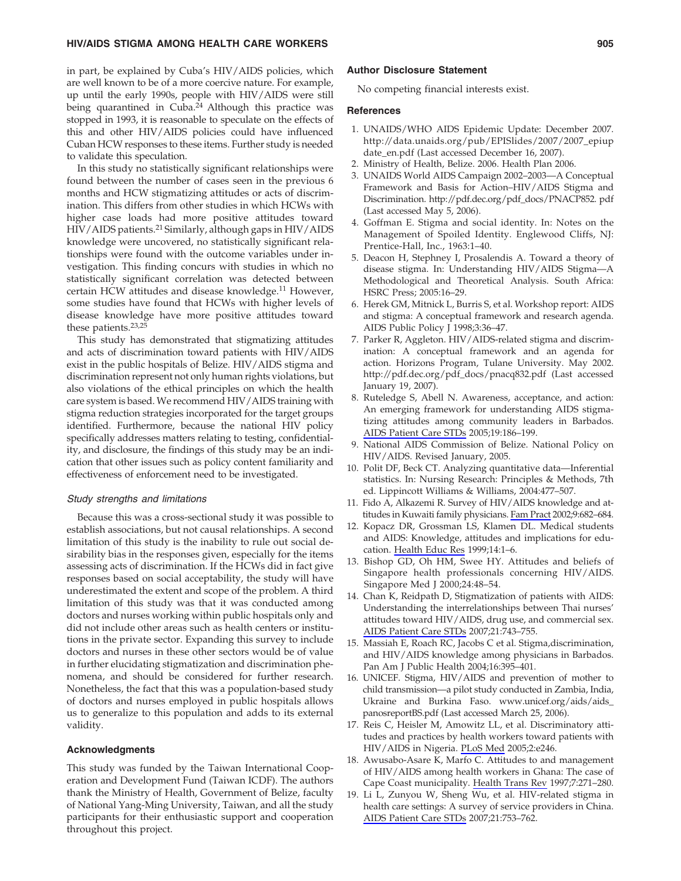## **HIV/AIDS STIGMA AMONG HEALTH CARE WORKERS 905**

in part, be explained by Cuba's HIV/AIDS policies, which are well known to be of a more coercive nature. For example, up until the early 1990s, people with HIV/AIDS were still being quarantined in Cuba.<sup>24</sup> Although this practice was stopped in 1993, it is reasonable to speculate on the effects of this and other HIV/AIDS policies could have influenced Cuban HCW responses to these items. Further study is needed to validate this speculation.

In this study no statistically significant relationships were found between the number of cases seen in the previous 6 months and HCW stigmatizing attitudes or acts of discrimination. This differs from other studies in which HCWs with higher case loads had more positive attitudes toward HIV/AIDS patients.21 Similarly, although gaps in HIV/AIDS knowledge were uncovered, no statistically significant relationships were found with the outcome variables under investigation. This finding concurs with studies in which no statistically significant correlation was detected between certain HCW attitudes and disease knowledge.<sup>11</sup> However, some studies have found that HCWs with higher levels of disease knowledge have more positive attitudes toward these patients.23,25

This study has demonstrated that stigmatizing attitudes and acts of discrimination toward patients with HIV/AIDS exist in the public hospitals of Belize. HIV/AIDS stigma and discrimination represent not only human rights violations, but also violations of the ethical principles on which the health care system is based. We recommend HIV/AIDS training with stigma reduction strategies incorporated for the target groups identified. Furthermore, because the national HIV policy specifically addresses matters relating to testing, confidentiality, and disclosure, the findings of this study may be an indication that other issues such as policy content familiarity and effectiveness of enforcement need to be investigated.

#### Study strengths and limitations

Because this was a cross-sectional study it was possible to establish associations, but not causal relationships. A second limitation of this study is the inability to rule out social desirability bias in the responses given, especially for the items assessing acts of discrimination. If the HCWs did in fact give responses based on social acceptability, the study will have underestimated the extent and scope of the problem. A third limitation of this study was that it was conducted among doctors and nurses working within public hospitals only and did not include other areas such as health centers or institutions in the private sector. Expanding this survey to include doctors and nurses in these other sectors would be of value in further elucidating stigmatization and discrimination phenomena, and should be considered for further research. Nonetheless, the fact that this was a population-based study of doctors and nurses employed in public hospitals allows us to generalize to this population and adds to its external validity.

#### **Acknowledgments**

This study was funded by the Taiwan International Cooperation and Development Fund (Taiwan ICDF). The authors thank the Ministry of Health, Government of Belize, faculty of National Yang-Ming University, Taiwan, and all the study participants for their enthusiastic support and cooperation throughout this project.

#### **Author Disclosure Statement**

No competing financial interests exist.

## **References**

- 1. UNAIDS/WHO AIDS Epidemic Update: December 2007. http://data.unaids.org/pub/EPISlides/2007/2007\_epiup date\_en.pdf (Last accessed December 16, 2007).
- 2. Ministry of Health, Belize. 2006. Health Plan 2006.
- 3. UNAIDS World AIDS Campaign 2002–2003—A Conceptual Framework and Basis for Action–HIV/AIDS Stigma and Discrimination. http://pdf.dec.org/pdf\_docs/PNACP852. pdf (Last accessed May 5, 2006).
- 4. Goffman E. Stigma and social identity. In: Notes on the Management of Spoiled Identity. Englewood Cliffs, NJ: Prentice-Hall, Inc., 1963:1–40.
- 5. Deacon H, Stephney I, Prosalendis A. Toward a theory of disease stigma. In: Understanding HIV/AIDS Stigma—A Methodological and Theoretical Analysis. South Africa: HSRC Press; 2005:16–29.
- 6. Herek GM, Mitnick L, Burris S, et al. Workshop report: AIDS and stigma: A conceptual framework and research agenda. AIDS Public Policy J 1998;3:36–47.
- 7. Parker R, Aggleton. HIV/AIDS-related stigma and discrimination: A conceptual framework and an agenda for action. Horizons Program, Tulane University. May 2002. http://pdf.dec.org/pdf\_docs/pnacq832.pdf (Last accessed January 19, 2007).
- 8. Ruteledge S, Abell N. Awareness, acceptance, and action: An emerging framework for understanding AIDS stigmatizing attitudes among community leaders in Barbados. AIDS Patient Care STDs 2005;19:186–199.
- 9. National AIDS Commission of Belize. National Policy on HIV/AIDS. Revised January, 2005.
- 10. Polit DF, Beck CT. Analyzing quantitative data—Inferential statistics. In: Nursing Research: Principles & Methods, 7th ed. Lippincott Williams & Williams, 2004:477–507.
- 11. Fido A, Alkazemi R. Survey of HIV/AIDS knowledge and attitudes in Kuwaiti family physicians. Fam Pract 2002;9:682–684.
- 12. Kopacz DR, Grossman LS, Klamen DL. Medical students and AIDS: Knowledge, attitudes and implications for education. Health Educ Res 1999;14:1–6.
- 13. Bishop GD, Oh HM, Swee HY. Attitudes and beliefs of Singapore health professionals concerning HIV/AIDS. Singapore Med J 2000;24:48–54.
- 14. Chan K, Reidpath D, Stigmatization of patients with AIDS: Understanding the interrelationships between Thai nurses' attitudes toward HIV/AIDS, drug use, and commercial sex. AIDS Patient Care STDs 2007;21:743–755.
- 15. Massiah E, Roach RC, Jacobs C et al. Stigma,discrimination, and HIV/AIDS knowledge among physicians in Barbados. Pan Am J Public Health 2004;16:395–401.
- 16. UNICEF. Stigma, HIV/AIDS and prevention of mother to child transmission—a pilot study conducted in Zambia, India, Ukraine and Burkina Faso. www.unicef.org/aids/aids\_ panosreportBS.pdf (Last accessed March 25, 2006).
- 17. Reis C, Heisler M, Amowitz LL, et al. Discriminatory attitudes and practices by health workers toward patients with HIV/AIDS in Nigeria. PLoS Med 2005;2:e246.
- 18. Awusabo-Asare K, Marfo C. Attitudes to and management of HIV/AIDS among health workers in Ghana: The case of Cape Coast municipality. Health Trans Rev 1997;7:271–280.
- 19. Li L, Zunyou W, Sheng Wu, et al. HIV-related stigma in health care settings: A survey of service providers in China. AIDS Patient Care STDs 2007;21:753–762.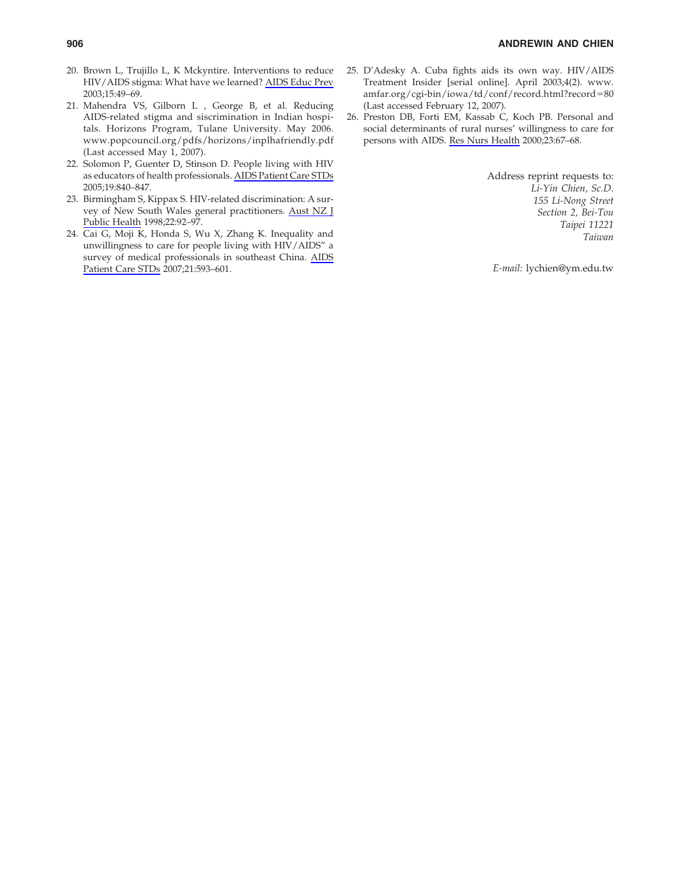- 20. Brown L, Trujillo L, K Mckyntire. Interventions to reduce HIV/AIDS stigma: What have we learned? AIDS Educ Prev 2003;15:49–69.
- 21. Mahendra VS, Gilborn L , George B, et al. Reducing AIDS-related stigma and siscrimination in Indian hospitals. Horizons Program, Tulane University. May 2006. www.popcouncil.org/pdfs/horizons/inplhafriendly.pdf (Last accessed May 1, 2007).
- 22. Solomon P, Guenter D, Stinson D. People living with HIV as educators of health professionals. AIDS Patient Care STDs 2005;19:840–847.
- 23. Birmingham S, Kippax S. HIV-related discrimination: A survey of New South Wales general practitioners. Aust NZ J Public Health 1998;22:92–97.
- 24. Cai G, Moji K, Honda S, Wu X, Zhang K. Inequality and unwillingness to care for people living with HIV/AIDS" a survey of medical professionals in southeast China. AIDS Patient Care STDs 2007;21:593–601.
- 25. D'Adesky A. Cuba fights aids its own way. HIV/AIDS Treatment Insider [serial online]. April 2003;4(2). www. amfar.org/cgi-bin/iowa/td/conf/record.html?record=80 (Last accessed February 12, 2007).
- 26. Preston DB, Forti EM, Kassab C, Koch PB. Personal and social determinants of rural nurses' willingness to care for persons with AIDS. Res Nurs Health 2000;23:67–68.

Address reprint requests to: *Li-Yin Chien, Sc.D. 155 Li-Nong Street Section 2, Bei-Tou Taipei 11221 Taiwan*

*E-mail:* lychien@ym.edu.tw